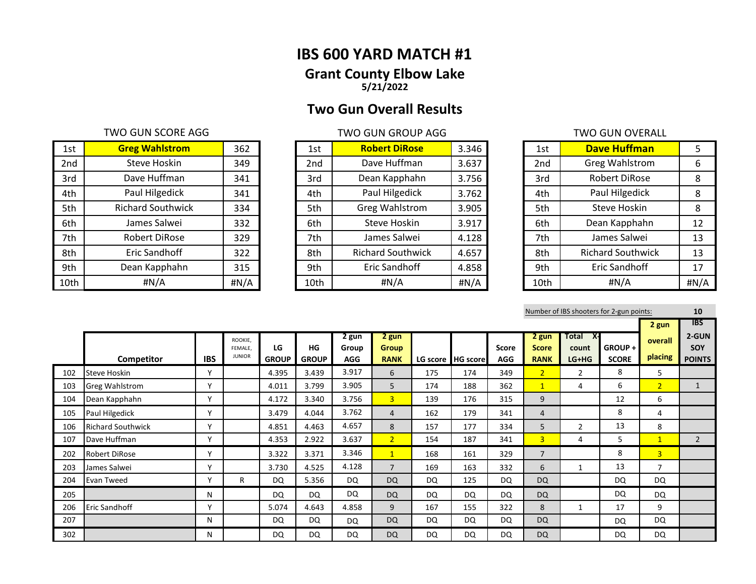# **IBS 600 YARD MATCH #1 Grant County Elbow Lake 5/21/2022**

# **Two Gun Overall Results**

## TWO GUN SCORE AGG TWO GUN GROUP AGG TWO GUN GROUP AGG

| 1st  | <b>Greg Wahlstrom</b>    | 362  | 1st  | <b>Robert DiRose</b>     | 3.346 | 1st  | <b>Dave Huffman</b>      |      |
|------|--------------------------|------|------|--------------------------|-------|------|--------------------------|------|
| 2nd  | Steve Hoskin             | 349  | 2nd  | Dave Huffman             | 3.637 | 2nd  | Greg Wahlstrom           | 6    |
| 3rd  | Dave Huffman             | 341  | 3rd  | Dean Kapphahn            | 3.756 | 3rd  | Robert DiRose            | 8    |
| 4th  | Paul Hilgedick           | 341  | 4th  | Paul Hilgedick           | 3.762 | 4th  | Paul Hilgedick           | 8    |
| 5th  | <b>Richard Southwick</b> | 334  | 5th  | <b>Greg Wahlstrom</b>    | 3.905 | 5th  | Steve Hoskin             | 8    |
| 6th  | James Salwei             | 332  | 6th  | Steve Hoskin             | 3.917 | 6th  | Dean Kapphahn            | 12   |
| 7th  | Robert DiRose            | 329  | 7th  | James Salwei             | 4.128 | 7th  | James Salwei             | 13   |
| 8th  | Eric Sandhoff            | 322  | 8th  | <b>Richard Southwick</b> | 4.657 | 8th  | <b>Richard Southwick</b> | 13   |
| 9th  | Dean Kapphahn            | 315  | 9th  | Eric Sandhoff            | 4.858 | 9th  | Eric Sandhoff            | 17   |
| 10th | #N/A                     | #N/A | 10th | #N/A                     | #N/A  | 10th | H N/A                    | #N/A |

| 1st  | <b>Robert DiRose</b>     | 3.346 |
|------|--------------------------|-------|
| 2nd  | Dave Huffman             | 3.637 |
| 3rd  | Dean Kapphahn            | 3.756 |
| 4th  | Paul Hilgedick           | 3.762 |
| 5th  | <b>Greg Wahlstrom</b>    | 3.905 |
| 6th  | Steve Hoskin             | 3.917 |
| 7th  | James Salwei             | 4.128 |
| 8th  | <b>Richard Southwick</b> | 4.657 |
| 9th  | Eric Sandhoff            | 4.858 |
| 10th | #N/A                     | #N/A  |

| 1st  | <b>Dave Huffman</b>      | 5    |
|------|--------------------------|------|
| 2nd  | <b>Greg Wahlstrom</b>    | 6    |
| 3rd  | <b>Robert DiRose</b>     | 8    |
| 4th  | Paul Hilgedick           | 8    |
| 5th  | Steve Hoskin             | 8    |
| 6th  | Dean Kapphahn            | 12   |
| 7th  | James Salwei             | 13   |
| 8th  | <b>Richard Southwick</b> | 13   |
| 9th  | Eric Sandhoff            | 17   |
| 10th | #N/A                     | #N/A |

|     |                          |            |                          |                    |                    |                     |                             |     |                   |                     |                             |                       | Number of IBS shooters for 2-gun points: |                | 10                   |
|-----|--------------------------|------------|--------------------------|--------------------|--------------------|---------------------|-----------------------------|-----|-------------------|---------------------|-----------------------------|-----------------------|------------------------------------------|----------------|----------------------|
|     |                          |            |                          |                    |                    |                     |                             |     |                   |                     |                             |                       |                                          | 2 gun          | <b>IBS</b>           |
|     |                          |            | ROOKIE,                  |                    |                    | 2 gun               | 2 gun                       |     |                   |                     | 2 gun                       | $\mathsf{X}$<br>Total |                                          | overall        | 2-GUN                |
|     | Competitor               | <b>IBS</b> | FEMALE.<br><b>JUNIOR</b> | LG<br><b>GROUP</b> | HG<br><b>GROUP</b> | Group<br><b>AGG</b> | <b>Group</b><br><b>RANK</b> |     | LG score HG score | Score<br><b>AGG</b> | <b>Score</b><br><b>RANK</b> | count<br>$LG+HG$      | GROUP+<br><b>SCORE</b>                   | placing        | SOY<br><b>POINTS</b> |
| 102 | <b>Steve Hoskin</b>      |            |                          | 4.395              | 3.439              | 3.917               | 6                           | 175 | 174               | 349                 | 2 <sup>1</sup>              | 2                     | 8                                        | 5              |                      |
| 103 | <b>Greg Wahlstrom</b>    | $\vee$     |                          | 4.011              | 3.799              | 3.905               | 5                           | 174 | 188               | 362                 | $\mathbf{1}$                | 4                     | 6                                        | 2 <sup>1</sup> | $\mathbf{1}$         |
| 104 | Dean Kapphahn            | V          |                          | 4.172              | 3.340              | 3.756               | 3 <sup>1</sup>              | 139 | 176               | 315                 | 9                           |                       | 12                                       | 6              |                      |
| 105 | Paul Hilgedick           | v          |                          | 3.479              | 4.044              | 3.762               | 4                           | 162 | 179               | 341                 | 4                           |                       | 8                                        | 4              |                      |
| 106 | <b>Richard Southwick</b> | v          |                          | 4.851              | 4.463              | 4.657               | 8                           | 157 | 177               | 334                 | 5                           | $\overline{2}$        | 13                                       | 8              |                      |
| 107 | Dave Huffman             | v          |                          | 4.353              | 2.922              | 3.637               | 2 <sup>1</sup>              | 154 | 187               | 341                 | $\overline{3}$              | 4                     | 5                                        | $\mathbf{1}$   | $\overline{2}$       |
| 202 | <b>Robert DiRose</b>     | Y          |                          | 3.322              | 3.371              | 3.346               | 1                           | 168 | 161               | 329                 | $\overline{7}$              |                       | 8                                        | 3 <sup>1</sup> |                      |
| 203 | James Salwei             | $\vee$     |                          | 3.730              | 4.525              | 4.128               | $\overline{7}$              | 169 | 163               | 332                 | 6                           | 1                     | 13                                       | $\overline{7}$ |                      |
| 204 | <b>Evan Tweed</b>        | Y          | R                        | DQ                 | 5.356              | <b>DQ</b>           | <b>DQ</b>                   | DQ  | 125               | DQ                  | <b>DQ</b>                   |                       | DQ                                       | DQ             |                      |
| 205 |                          | N          |                          | DQ                 | <b>DQ</b>          | DQ                  | DQ                          | DQ  | DQ                | DQ                  | DQ                          |                       | DQ                                       | <b>DQ</b>      |                      |
| 206 | <b>Eric Sandhoff</b>     | Y          |                          | 5.074              | 4.643              | 4.858               | 9                           | 167 | 155               | 322                 | 8                           | 1                     | 17                                       | 9              |                      |
| 207 |                          | N          |                          | DQ                 | DQ                 | <b>DQ</b>           | DQ                          | DQ  | DQ                | DQ                  | <b>DQ</b>                   |                       | DQ                                       | DQ             |                      |
| 302 |                          | N          |                          | DQ                 | DQ                 | DQ                  | <b>DQ</b>                   | DQ  | DQ                | DQ                  | <b>DQ</b>                   |                       | DQ                                       | DQ             |                      |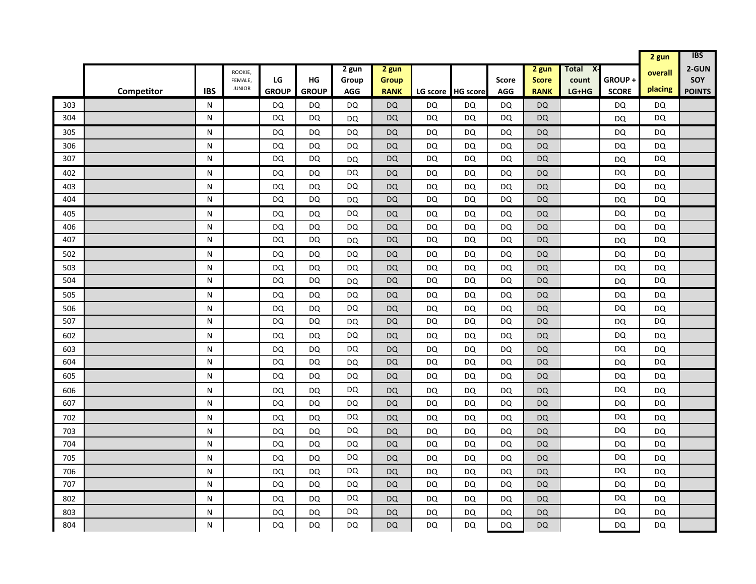|            |            |            |                          |                        |                        |                 |                        |                        |                        |                        |                        |                    |                 | 2 gun                  | <b>IBS</b>    |
|------------|------------|------------|--------------------------|------------------------|------------------------|-----------------|------------------------|------------------------|------------------------|------------------------|------------------------|--------------------|-----------------|------------------------|---------------|
|            |            |            | ROOKIE,                  |                        |                        | 2 gun           | 2 gun                  |                        |                        |                        | 2 gun                  | X-<br><b>Total</b> |                 | overall                | 2-GUN         |
|            |            |            | FEMALE,<br><b>JUNIOR</b> | LG                     | HG                     | Group           | <b>Group</b>           |                        |                        | <b>Score</b>           | <b>Score</b>           | count              | GROUP+          | placing                | <b>SOY</b>    |
|            | Competitor | <b>IBS</b> |                          | <b>GROUP</b>           | <b>GROUP</b>           | <b>AGG</b>      | <b>RANK</b>            | LG score               | <b>HG score</b>        | <b>AGG</b>             | <b>RANK</b>            | LG+HG              | <b>SCORE</b>    |                        | <b>POINTS</b> |
| 303        |            | N          |                          | DQ                     | <b>DQ</b>              | DQ              | <b>DQ</b>              | DQ                     | DQ                     | DQ                     | <b>DQ</b>              |                    | DQ              | <b>DQ</b>              |               |
| 304        |            | N          |                          | DQ                     | DQ                     | DQ              | <b>DQ</b>              | DQ                     | DQ                     | DQ                     | <b>DQ</b>              |                    | <b>DQ</b>       | <b>DQ</b>              |               |
| 305        |            | N          |                          | <b>DQ</b>              | <b>DQ</b>              | <b>DQ</b>       | DQ                     | <b>DQ</b>              | DQ                     | <b>DQ</b>              | DQ                     |                    | DQ              | <b>DQ</b>              |               |
| 306        |            | N          |                          | DQ                     | DQ                     | <b>DQ</b>       | <b>DQ</b>              | DQ                     | DQ                     | DQ                     | <b>DQ</b>              |                    | <b>DQ</b>       | <b>DQ</b>              |               |
| 307        |            | N          |                          | DQ                     | DQ                     | DQ              | <b>DQ</b>              | <b>DQ</b>              | DQ                     | DQ                     | <b>DQ</b>              |                    | DQ              | DQ                     |               |
| 402        |            | N          |                          | DQ                     | <b>DQ</b>              | <b>DQ</b>       | <b>DQ</b>              | <b>DQ</b>              | DQ                     | DQ                     | <b>DQ</b>              |                    | DQ              | <b>DQ</b>              |               |
| 403        |            | N          |                          | <b>DQ</b>              | <b>DQ</b>              | <b>DQ</b>       | <b>DQ</b>              | <b>DQ</b>              | <b>DQ</b>              | <b>DQ</b>              | <b>DQ</b>              |                    | <b>DQ</b>       | <b>DQ</b>              |               |
| 404        |            | N          |                          | <b>DQ</b>              | DQ                     | <b>DQ</b>       | <b>DQ</b>              | DQ                     | DQ                     | DQ                     | <b>DQ</b>              |                    | <b>DQ</b>       | <b>DQ</b>              |               |
| 405        |            | N          |                          | DQ                     | DQ                     | DQ              | <b>DQ</b>              | DQ                     | DQ                     | DQ                     | <b>DQ</b>              |                    | <b>DQ</b>       | DQ                     |               |
| 406        |            | N          |                          | DQ                     | DQ                     | DQ              | <b>DQ</b>              | DQ                     | DQ                     | DQ                     | <b>DQ</b>              |                    | DQ              | <b>DQ</b>              |               |
| 407        |            | N          |                          | DQ                     | DQ                     | DQ              | <b>DQ</b>              | DQ                     | DQ                     | DQ                     | <b>DQ</b>              |                    | <b>DQ</b>       | <b>DQ</b>              |               |
| 502        |            | N          |                          | DQ                     | DQ                     | <b>DQ</b>       | <b>DQ</b>              | <b>DQ</b>              | <b>DQ</b>              | DQ                     | <b>DQ</b>              |                    | <b>DQ</b>       | <b>DQ</b>              |               |
| 503<br>504 |            | N<br>N     |                          | <b>DQ</b><br><b>DQ</b> | <b>DQ</b>              | DQ              | <b>DQ</b><br><b>DQ</b> | <b>DQ</b><br><b>DQ</b> | <b>DQ</b><br>DQ        | <b>DQ</b><br><b>DQ</b> | <b>DQ</b>              |                    | <b>DQ</b>       | <b>DQ</b><br><b>DQ</b> |               |
|            |            |            |                          |                        | DQ                     | DQ              |                        |                        |                        |                        | <b>DQ</b>              |                    | DQ              |                        |               |
| 505        |            | N          |                          | DQ                     | DQ                     | DQ              | <b>DQ</b>              | DQ                     | DQ                     | DQ                     | <b>DQ</b>              |                    | DQ              | <b>DQ</b>              |               |
| 506        |            | N          |                          | <b>DQ</b>              | <b>DQ</b>              | <b>DQ</b>       | <b>DQ</b>              | <b>DQ</b>              | DQ                     | DQ                     | <b>DQ</b>              |                    | <b>DQ</b>       | <b>DQ</b>              |               |
| 507        |            | N          |                          | DQ                     | <b>DQ</b>              | <b>DQ</b>       | <b>DQ</b>              | DQ                     | DQ                     | DQ                     | <b>DQ</b>              |                    | <b>DQ</b>       | DQ                     |               |
| 602        |            | N          |                          | <b>DQ</b>              | DQ                     | <b>DQ</b>       | <b>DQ</b>              | DQ                     | <b>DQ</b>              | DQ                     | <b>DQ</b>              |                    | <b>DQ</b>       | <b>DQ</b>              |               |
| 603<br>604 |            | N<br>N     |                          | DQ<br><b>DQ</b>        | DQ<br><b>DQ</b>        | DQ              | DQ<br><b>DQ</b>        | DQ<br>DQ               | DQ<br><b>DQ</b>        | DQ<br>DQ               | DQ<br><b>DQ</b>        |                    | DQ              | DQ<br><b>DQ</b>        |               |
|            |            |            |                          |                        |                        | DQ              |                        |                        |                        |                        |                        |                    | <b>DQ</b>       |                        |               |
| 605        |            | N          |                          | DQ                     | <b>DQ</b>              | DQ<br><b>DQ</b> | <b>DQ</b>              | <b>DQ</b>              | DQ                     | DQ                     | <b>DQ</b>              |                    | DQ<br><b>DQ</b> | <b>DQ</b>              |               |
| 606<br>607 |            | N<br>N     |                          | <b>DQ</b><br><b>DQ</b> | <b>DQ</b><br>DQ        | DQ              | <b>DQ</b><br><b>DQ</b> | <b>DQ</b><br>DQ        | <b>DQ</b><br><b>DQ</b> | <b>DQ</b><br><b>DQ</b> | <b>DQ</b><br><b>DQ</b> |                    | <b>DQ</b>       | <b>DQ</b><br><b>DQ</b> |               |
|            |            |            |                          |                        |                        | <b>DQ</b>       |                        |                        |                        |                        |                        |                    | <b>DQ</b>       |                        |               |
| 702        |            | N          |                          | DQ                     | DQ                     | DQ              | <b>DQ</b>              | DQ                     | DQ                     | DQ                     | <b>DQ</b>              |                    | DQ              | <b>DQ</b>              |               |
| 703<br>704 |            | N<br>N     |                          | DQ<br><b>DQ</b>        | <b>DQ</b><br><b>DQ</b> | DQ              | <b>DQ</b><br><b>DQ</b> | <b>DQ</b><br><b>DQ</b> | DQ<br>DQ               | DQ<br>DQ               | <b>DQ</b><br><b>DQ</b> |                    | DQ              | <b>DQ</b><br><b>DQ</b> |               |
|            |            |            |                          |                        |                        | <b>DQ</b>       |                        |                        |                        |                        |                        |                    | <b>DQ</b>       |                        |               |
| 705        |            | N          |                          | DQ                     | DQ                     | <b>DQ</b>       | <b>DQ</b>              | DQ                     | DQ                     | DQ                     | <b>DQ</b>              |                    | <b>DQ</b>       | <b>DQ</b>              |               |
| 706<br>707 |            | N<br>N     |                          | <b>DQ</b><br>DQ        | DQ<br>DQ               | DQ              | <b>DQ</b><br><b>DQ</b> | DQ<br>DQ               | DQ<br>DQ               | DQ<br>DQ               | <b>DQ</b><br><b>DQ</b> |                    | DQ              | <b>DQ</b><br><b>DQ</b> |               |
|            |            |            |                          |                        |                        | DQ              |                        |                        |                        |                        |                        |                    | <b>DQ</b>       |                        |               |
| 802        |            | N          |                          | DQ                     | <b>DQ</b>              | DQ              | <b>DQ</b>              | <b>DQ</b>              | DQ                     | DQ                     | <b>DQ</b>              |                    | DQ              | <b>DQ</b>              |               |
| 803<br>804 |            | N<br>N     |                          | DQ<br>DQ               | DQ<br>DQ               | DQ              | DQ<br><b>DQ</b>        | DQ<br>DQ               | DQ<br>DQ               | DQ<br>DQ               | <b>DQ</b><br><b>DQ</b> |                    | <b>DQ</b>       | <b>DQ</b><br><b>DQ</b> |               |
|            |            |            |                          |                        |                        |                 |                        |                        |                        |                        |                        |                    |                 |                        |               |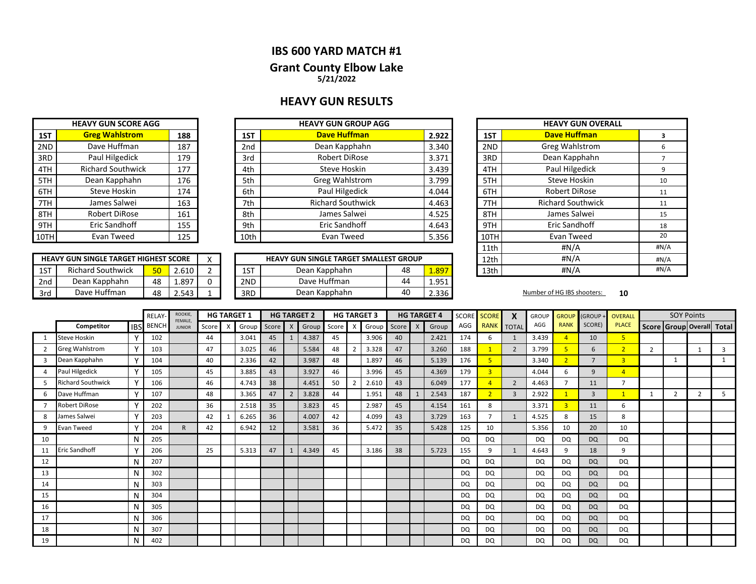## **IBS 600 YARD MATCH #1 Grant County Elbow Lake 5/21/2022**

## **HEAVY GUN RESULTS**

|     | <b>HEAVY GUN SCORE AGG</b> |     |
|-----|----------------------------|-----|
| 1ST | <b>Greg Wahlstrom</b>      | 188 |
| 2ND | Dave Huffman               | 187 |
| 3RD | Paul Hilgedick             | 179 |
| 4TH | <b>Richard Southwick</b>   | 177 |
| 5TH | Dean Kapphahn              | 176 |
| 6TH | Steve Hoskin               | 174 |
| 7TH | James Salwei               | 163 |
| 8TH | <b>Robert DiRose</b>       | 161 |
| 9TH | Eric Sandhoff              | 155 |
|     | Evan Tweed                 | 125 |

**HEAVY GUN SINGLE TARGET HIGHEST SCORE**

|      |       | <b>HEAVY GUN GROUP AGG</b> |                 |     | <b>HEAVY GUN SCORE AGG</b> |      |
|------|-------|----------------------------|-----------------|-----|----------------------------|------|
| 1ST  | 2.922 | <b>Dave Huffman</b>        | 1ST             | 188 | <b>Greg Wahlstrom</b>      | 1ST  |
| 2ND  | 3.340 | Dean Kapphahn              | 2 <sub>nd</sub> | 187 | Dave Huffman               | 2ND  |
| 3RD  | 3.371 | <b>Robert DiRose</b>       | 3rd             | 179 | Paul Hilgedick             | 3RD  |
| 4TH  | 3.439 | Steve Hoskin               | 4th             | 177 | <b>Richard Southwick</b>   | 4TH  |
| 5TH  | 3.799 | <b>Greg Wahlstrom</b>      | 5th             | 176 | Dean Kapphahn              | 5TH  |
| 6TH  | 4.044 | Paul Hilgedick             | 6th             | 174 | Steve Hoskin               | 6TH  |
| 7TH  | 4.463 | <b>Richard Southwick</b>   | 7th             | 163 | James Salwei               | 7TH  |
| 8TH  | 4.525 | James Salwei               | 8th             | 161 | Robert DiRose              | 8TH  |
| 9TH  | 4.643 | Eric Sandhoff              | 9th             | 155 | Eric Sandhoff              | 9TH  |
| 10TH | 5.356 | Evan Tweed                 | 10th            | 125 | Evan Tweed                 | 10TH |

|     | <b>HEAVY GUN SINGLE TARGET HIGHEST SCORE</b> |                 |       | $\lambda$ |     | <b>HEAVY GUN SINGLE TARGET SMALLEST GROUP</b> |    |       | 12th | #N/A                       |    |
|-----|----------------------------------------------|-----------------|-------|-----------|-----|-----------------------------------------------|----|-------|------|----------------------------|----|
| 1ST | <b>Richard Southwick</b>                     | 50 <sub>1</sub> | 2.610 |           | 1ST | Dean Kapphahn                                 | 48 | 1.897 | 13th | #N/A                       |    |
| 2nd | Dean Kapphahn                                | 48              | 1.897 |           | 2ND | Dave Huffman                                  | 44 | 1.951 |      |                            |    |
| 3rd | Dave Huffman                                 | 48              | 2.543 |           | 3RD | Dean Kapphahn                                 | 40 | 2.336 |      | Number of HG IBS shooters: | 10 |

| <b>HEAVY GUN GROUP AGG</b>      |    |       |      | <b>HEAVY GUN OVERALL</b> |      |
|---------------------------------|----|-------|------|--------------------------|------|
| <b>Dave Huffman</b>             |    | 2.922 | 1ST  | <b>Dave Huffman</b>      | 3    |
| Dean Kapphahn                   |    | 3.340 | 2ND  | <b>Greg Wahlstrom</b>    | 6    |
| <b>Robert DiRose</b>            |    | 3.371 | 3RD  | Dean Kapphahn            | 7    |
| Steve Hoskin                    |    | 3.439 | 4TH  | Paul Hilgedick           | 9    |
| Greg Wahlstrom                  |    | 3.799 | 5TH  | <b>Steve Hoskin</b>      | 10   |
| Paul Hilgedick                  |    | 4.044 | 6TH  | <b>Robert DiRose</b>     | 11   |
| <b>Richard Southwick</b>        |    | 4.463 | 7TH  | <b>Richard Southwick</b> | 11   |
| James Salwei                    |    | 4.525 | 8TH  | James Salwei             | 15   |
| <b>Eric Sandhoff</b>            |    | 4.643 | 9TH  | <b>Eric Sandhoff</b>     | 18   |
| Evan Tweed                      |    | 5.356 | 10TH | Evan Tweed               | 20   |
|                                 |    |       | 11th | #N/A                     | #N/A |
| UN SINGLE TARGET SMALLEST GROUP |    |       | 12th | # $N/A$                  | #N/A |
| Dean Kapphahn                   | 48 | 1.897 | 13th | # $N/A$                  | #N/A |
|                                 |    |       |      |                          |      |

|    |                          |              | <b>RELAY</b> | ROOKIE,                        |       |   | <b>HG TARGET 1</b> |       |                | <b>HG TARGET 2</b> |    |   | <b>HG TARGET 3</b> |       |              | <b>HG TARGET 4</b> | SCORE     | <b>SCORE</b> | X              | <b>GROUP</b> | <b>GROUP</b> | (GROUP -       | <b>OVERALL</b> |                | <b>SOY Points</b>       |                |       |
|----|--------------------------|--------------|--------------|--------------------------------|-------|---|--------------------|-------|----------------|--------------------|----|---|--------------------|-------|--------------|--------------------|-----------|--------------|----------------|--------------|--------------|----------------|----------------|----------------|-------------------------|----------------|-------|
|    | Competitor               | <b>IBS</b>   | <b>BENCH</b> | <b>FEMALE</b><br><b>JUNIOR</b> | Score | X | Group              | Score |                | X Group Score      |    | X | Group              | Score | $\mathsf{X}$ | Group              | AGG       |              | RANK TOTAL     | AGG          | <b>RANK</b>  | SCORE)         | <b>PLACE</b>   |                | Score   Group   Overall |                | Total |
|    | <b>Steve Hoskin</b>      | Y            | 102          |                                | 44    |   | 3.041              | 45    | -1             | 4.387              | 45 |   | 3.906              | 40    |              | 2.421              | 174       | 6            |                | 3.439        |              | 10             |                |                |                         |                |       |
|    | <b>Greg Wahlstrom</b>    | Y            | 103          |                                | 47    |   | 3.025              | 46    |                | 5.584              | 48 |   | 3.328              | 47    |              | 3.260              | 188       |              | $\overline{2}$ | 3.799        | 5            | 6              |                | $\overline{2}$ |                         |                | 3     |
|    | Dean Kapphahn            | Y            | 104          |                                | 40    |   | 2.336              | 42    |                | 3.987              | 48 |   | 1.897              | 46    |              | 5.139              | 176       |              |                | 3.340        |              |                | $\overline{3}$ |                | -1                      |                |       |
|    | Paul Hilgedick           | Υ            | 105          |                                | 45    |   | 3.885              | 43    |                | 3.927              | 46 |   | 3.996              | 45    |              | 4.369              | 179       |              |                | 4.044        | 6            | 9              | $\overline{A}$ |                |                         |                |       |
|    | <b>Richard Southwick</b> | $\checkmark$ | 106          |                                | 46    |   | 4.743              | 38    |                | 4.451              | 50 |   | 2.610              | 43    |              | 6.049              | 177       |              | 2              | 4.463        |              | 11             | $\overline{ }$ |                |                         |                |       |
|    | Dave Huffman             | Υ            | 107          |                                | 48    |   | 3.365              | 47    | $\overline{2}$ | 3.828              | 44 |   | 1.951              | 48    |              | 2.543              | 187       |              | $\overline{3}$ | 2.922        |              | $\overline{3}$ |                |                | $\overline{2}$          | $\overline{2}$ | 5     |
|    | <b>Robert DiRose</b>     | Y            | 202          |                                | 36    |   | 2.518              | 35    |                | 3.823              | 45 |   | 2.987              | 45    |              | 4.154              | 161       | 8            |                | 3.371        | в            | 11             | 6              |                |                         |                |       |
|    | James Salwei             | Y            | 203          |                                | 42    |   | 6.265              | 36    |                | 4.007              | 42 |   | 4.099              | 43    |              | 3.729              | 163       |              |                | 4.525        | 8            | 15             | 8              |                |                         |                |       |
| 9  | <b>Evan Tweed</b>        | $\checkmark$ | 204          | $\mathsf{R}$                   | 42    |   | 6.942              | 12    |                | 3.581              | 36 |   | 5.472              | 35    |              | 5.428              | 125       | 10           |                | 5.356        | 10           | 20             | 10             |                |                         |                |       |
| 10 |                          | N            | 205          |                                |       |   |                    |       |                |                    |    |   |                    |       |              |                    | <b>DQ</b> | DQ           |                | DQ           | <b>DQ</b>    | <b>DQ</b>      | DQ             |                |                         |                |       |
| 11 | Eric Sandhoff            | $\checkmark$ | 206          |                                | 25    |   | 5.313              | 47    |                | 4.349              | 45 |   | 3.186              | 38    |              | 5.723              | 155       | 9            |                | 4.643        | 9            | 18             | 9              |                |                         |                |       |
| 12 |                          | N            | 207          |                                |       |   |                    |       |                |                    |    |   |                    |       |              |                    | <b>DQ</b> | DQ           |                | <b>DQ</b>    | <b>DQ</b>    | <b>DQ</b>      | DQ             |                |                         |                |       |
| 13 |                          | N            | 302          |                                |       |   |                    |       |                |                    |    |   |                    |       |              |                    | DQ        | DQ           |                | DQ           | <b>DQ</b>    | <b>DQ</b>      | DQ             |                |                         |                |       |
| 14 |                          | Ν            | 303          |                                |       |   |                    |       |                |                    |    |   |                    |       |              |                    | DQ        | DQ           |                | DQ           | <b>DQ</b>    | <b>DQ</b>      | DQ             |                |                         |                |       |
| 15 |                          | N            | 304          |                                |       |   |                    |       |                |                    |    |   |                    |       |              |                    | DQ        | DQ           |                | DQ           | <b>DQ</b>    | <b>DQ</b>      | DQ             |                |                         |                |       |
| 16 |                          | N            | 305          |                                |       |   |                    |       |                |                    |    |   |                    |       |              |                    | <b>DQ</b> | DQ           |                | <b>DQ</b>    | <b>DQ</b>    | <b>DQ</b>      | DQ             |                |                         |                |       |
| 17 |                          | N            | 306          |                                |       |   |                    |       |                |                    |    |   |                    |       |              |                    | DQ        | DQ           |                | DQ           | <b>DQ</b>    | <b>DQ</b>      | <b>DQ</b>      |                |                         |                |       |
| 18 |                          | N            | 307          |                                |       |   |                    |       |                |                    |    |   |                    |       |              |                    | DQ        | <b>DQ</b>    |                | DQ           | <b>DQ</b>    | <b>DQ</b>      | <b>DQ</b>      |                |                         |                |       |
| 19 |                          | N            | 402          |                                |       |   |                    |       |                |                    |    |   |                    |       |              |                    | DQ        | DQ           |                | DQ           | DQ           | <b>DQ</b>      | DQ             |                |                         |                |       |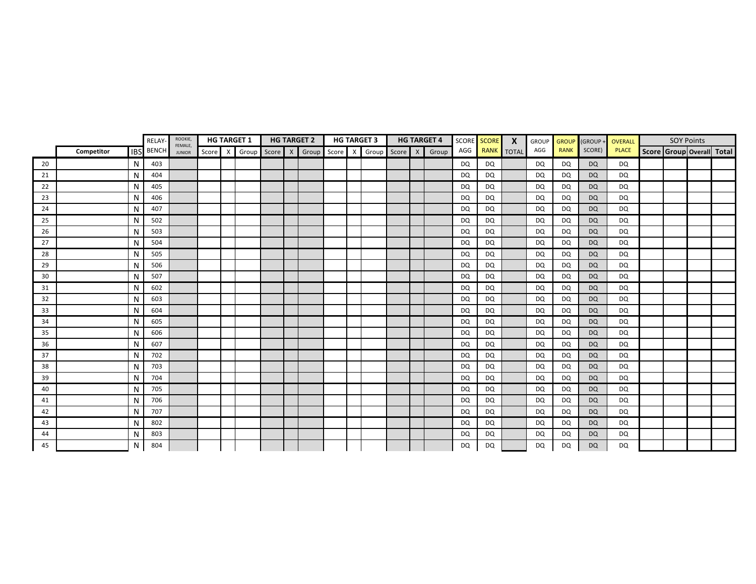|    |            |   | RELAY            | ROOKIE,<br>FEMALE, |         | <b>HG TARGET 1</b> |  | <b>HG TARGET 2</b>                        |  | <b>HG TARGET 3</b> |  | <b>HG TARGET 4</b> |           | SCORE SCORE | $\mathbf{x}$ | GROUP     | <b>GROUP</b> | (GROUP    | OVERALL      |                           | <b>SOY Points</b> |  |
|----|------------|---|------------------|--------------------|---------|--------------------|--|-------------------------------------------|--|--------------------|--|--------------------|-----------|-------------|--------------|-----------|--------------|-----------|--------------|---------------------------|-------------------|--|
|    | Competitor |   | <b>IBS</b> BENCH | <b>JUNIOR</b>      | Score X |                    |  | Group Score X Group Score X Group Score X |  |                    |  | Group              |           | AGG RANK    | <b>TOTAL</b> | AGG       | <b>RANK</b>  | SCORE)    | <b>PLACE</b> | Score Group Overall Total |                   |  |
| 20 |            | N | 403              |                    |         |                    |  |                                           |  |                    |  |                    | DQ        | DQ          |              | DQ        | DQ           | DQ        | <b>DQ</b>    |                           |                   |  |
| 21 |            | N | 404              |                    |         |                    |  |                                           |  |                    |  |                    | <b>DQ</b> | DQ          |              | <b>DQ</b> | DQ           | <b>DQ</b> | <b>DQ</b>    |                           |                   |  |
| 22 |            | N | 405              |                    |         |                    |  |                                           |  |                    |  |                    | DQ        | DQ          |              | <b>DQ</b> | DQ           | <b>DQ</b> | <b>DQ</b>    |                           |                   |  |
| 23 |            | N | 406              |                    |         |                    |  |                                           |  |                    |  |                    | <b>DQ</b> | DQ          |              | <b>DQ</b> | <b>DQ</b>    | <b>DQ</b> | <b>DQ</b>    |                           |                   |  |
| 24 |            | N | 407              |                    |         |                    |  |                                           |  |                    |  |                    | <b>DQ</b> | DQ          |              | <b>DQ</b> | <b>DQ</b>    | <b>DQ</b> | DQ           |                           |                   |  |
| 25 |            | N | 502              |                    |         |                    |  |                                           |  |                    |  |                    | <b>DQ</b> | DQ          |              | <b>DQ</b> | DQ           | <b>DQ</b> | <b>DQ</b>    |                           |                   |  |
| 26 |            | N | 503              |                    |         |                    |  |                                           |  |                    |  |                    | <b>DQ</b> | DQ          |              | <b>DQ</b> | DQ           | <b>DQ</b> | <b>DQ</b>    |                           |                   |  |
| 27 |            | N | 504              |                    |         |                    |  |                                           |  |                    |  |                    | <b>DQ</b> | DQ          |              | <b>DQ</b> | <b>DQ</b>    | <b>DQ</b> | <b>DQ</b>    |                           |                   |  |
| 28 |            | N | 505              |                    |         |                    |  |                                           |  |                    |  |                    | DQ        | DQ          |              | DQ        | DQ           | <b>DQ</b> | DQ           |                           |                   |  |
| 29 |            | N | 506              |                    |         |                    |  |                                           |  |                    |  |                    | <b>DQ</b> | DQ          |              | DQ        | DQ           | <b>DQ</b> | <b>DQ</b>    |                           |                   |  |
| 30 |            | N | 507              |                    |         |                    |  |                                           |  |                    |  |                    | <b>DQ</b> | <b>DQ</b>   |              | <b>DQ</b> | <b>DQ</b>    | <b>DQ</b> | <b>DQ</b>    |                           |                   |  |
| 31 |            | N | 602              |                    |         |                    |  |                                           |  |                    |  |                    | DQ        | DQ          |              | DQ        | DQ           | <b>DQ</b> | DQ           |                           |                   |  |
| 32 |            | N | 603              |                    |         |                    |  |                                           |  |                    |  |                    | <b>DQ</b> | DQ          |              | DQ        | DQ           | <b>DQ</b> | DQ           |                           |                   |  |
| 33 |            | N | 604              |                    |         |                    |  |                                           |  |                    |  |                    | <b>DQ</b> | DQ          |              | <b>DQ</b> | <b>DQ</b>    | <b>DQ</b> | <b>DQ</b>    |                           |                   |  |
| 34 |            | N | 605              |                    |         |                    |  |                                           |  |                    |  |                    | DQ        | DQ          |              | DQ        | DQ           | <b>DQ</b> | <b>DQ</b>    |                           |                   |  |
| 35 |            | N | 606              |                    |         |                    |  |                                           |  |                    |  |                    | <b>DQ</b> | DQ          |              | DQ        | DQ           | <b>DQ</b> | DQ           |                           |                   |  |
| 36 |            | N | 607              |                    |         |                    |  |                                           |  |                    |  |                    | <b>DQ</b> | DQ          |              | <b>DQ</b> | DQ           | <b>DQ</b> | <b>DQ</b>    |                           |                   |  |
| 37 |            | N | 702              |                    |         |                    |  |                                           |  |                    |  |                    | <b>DQ</b> | DQ          |              | DQ        | DQ           | <b>DQ</b> | DQ           |                           |                   |  |
| 38 |            | N | 703              |                    |         |                    |  |                                           |  |                    |  |                    | <b>DQ</b> | DQ          |              | <b>DQ</b> | DQ           | <b>DQ</b> | <b>DQ</b>    |                           |                   |  |
| 39 |            | N | 704              |                    |         |                    |  |                                           |  |                    |  |                    | <b>DQ</b> | DQ          |              | <b>DQ</b> | <b>DQ</b>    | <b>DQ</b> | DQ           |                           |                   |  |
| 40 |            | N | 705              |                    |         |                    |  |                                           |  |                    |  |                    | <b>DQ</b> | DQ          |              | <b>DQ</b> | DQ           | <b>DQ</b> | <b>DQ</b>    |                           |                   |  |
| 41 |            | N | 706              |                    |         |                    |  |                                           |  |                    |  |                    | <b>DQ</b> | <b>DQ</b>   |              | <b>DQ</b> | DQ           | <b>DQ</b> | <b>DQ</b>    |                           |                   |  |
| 42 |            | N | 707              |                    |         |                    |  |                                           |  |                    |  |                    | <b>DQ</b> | DQ          |              | DQ        | DQ           | <b>DQ</b> | DQ           |                           |                   |  |
| 43 |            | N | 802              |                    |         |                    |  |                                           |  |                    |  |                    | <b>DQ</b> | DQ          |              | DQ        | DQ           | <b>DQ</b> | DQ           |                           |                   |  |
| 44 |            | N | 803              |                    |         |                    |  |                                           |  |                    |  |                    | <b>DQ</b> | DQ          |              | DQ        | DQ           | <b>DQ</b> | DQ           |                           |                   |  |
| 45 |            | N | 804              |                    |         |                    |  |                                           |  |                    |  |                    | DQ        | <b>DQ</b>   |              | DQ        | <b>DQ</b>    | <b>DQ</b> | <b>DQ</b>    |                           |                   |  |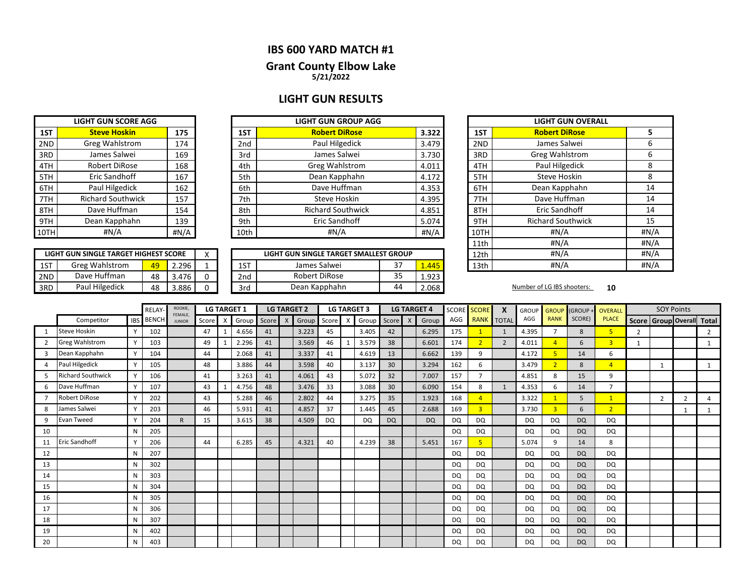## **IBS 600 YARD MATCH #1**

### **5/21/2022 Grant County Elbow Lake**

## **LIGHT GUN RESULTS**

|      | <b>LIGHT GUN SCORE AGG</b> |      |
|------|----------------------------|------|
| 1ST  | <b>Steve Hoskin</b>        | 175  |
| 2ND  | Greg Wahlstrom             | 174  |
| 3RD  | James Salwei               | 169  |
| 4TH  | <b>Robert DiRose</b>       | 168  |
| 5TH  | Eric Sandhoff              | 167  |
| 6TH  | Paul Hilgedick             | 162  |
| 7TH  | <b>Richard Southwick</b>   | 157  |
| 8TH  | Dave Huffman               | 154  |
| 9TH  | Dean Kapphahn              | 139  |
| 10TH | #N/A                       | #N/A |

**LIGHT GUN SINGLE TARGET HIGHEST SCORE**

|      | <b>LIGHT GUN SCORE AGG</b> |      |      | <b>LIGHT GUN GROUP AGG</b> |       |
|------|----------------------------|------|------|----------------------------|-------|
| 1ST  | <b>Steve Hoskin</b>        | 175  | 1ST  | <b>Robert DiRose</b>       | 3.322 |
| 2ND  | Greg Wahlstrom             | 174  | 2nd  | Paul Hilgedick             | 3.479 |
| 3RD  | James Salwei               | 169  | 3rd  | James Salwei               | 3.730 |
| 4TH  | Robert DiRose              | 168  | 4th  | Greg Wahlstrom             | 4.011 |
| 5TH  | Eric Sandhoff              | 167  | 5th  | Dean Kapphahn              | 4.172 |
| 6TH  | Paul Hilgedick             | 162  | 6th  | Dave Huffman               | 4.353 |
| 7TH  | <b>Richard Southwick</b>   | 157  | 7th  | Steve Hoskin               | 4.395 |
| 8TH  | Dave Huffman               | 154  | 8th  | <b>Richard Southwick</b>   | 4.851 |
| 9TH  | Dean Kapphahn              | 139  | 9th  | <b>Eric Sandhoff</b>       | 5.074 |
| 10TH | #N/A                       | #N/A | 10th | #N/A                       | #N/A  |

|     | LIGHT GUN SINGLE TARGET HIGHEST SCORE |    |       | $\lambda$ |                 | LIGHT GUN SINGLE TARGET SMALLEST GROUP | 12th | #N/A  |      |                            |    |
|-----|---------------------------------------|----|-------|-----------|-----------------|----------------------------------------|------|-------|------|----------------------------|----|
| 1ST | : Wahlstrom<br>Greg                   | 49 | 2.296 |           | 1 CT<br>LJ.     | James Salwei                           | ັ    | .445  | 13th | #N/A                       |    |
| 2ND | Dave Huffman                          | 48 | 3.476 |           | 2 <sub>nd</sub> | Robert DiRose                          | 35   | 1.923 |      |                            |    |
| 3RD | Paul Hilgedick                        | 48 | 3.886 |           | 3rd             | Dean Kapphahn                          | 44   | 2.068 |      | Number of LG IBS shooters: | 10 |

| <b>T GUN GROUP AGG</b>           |  |       |      | <b>LIGHT GUN OVERALL</b> |      |
|----------------------------------|--|-------|------|--------------------------|------|
| <b>Robert DiRose</b>             |  | 3.322 | 1ST  | <b>Robert DiRose</b>     | 5    |
| Paul Hilgedick                   |  | 3.479 | 2ND  | James Salwei             | 6    |
| James Salwei                     |  | 3.730 | 3RD  | <b>Greg Wahlstrom</b>    | 6    |
| reg Wahlstrom                    |  | 4.011 | 4TH  | Paul Hilgedick           | 8    |
| ean Kapphahn                     |  | 4.172 | 5TH  | <b>Steve Hoskin</b>      | 8    |
| Dave Huffman                     |  | 4.353 | 6TH  | Dean Kapphahn            | 14   |
| <b>Steve Hoskin</b>              |  | 4.395 | 7TH  | Dave Huffman             | 14   |
| hard Southwick                   |  | 4.851 | 8TH  | <b>Eric Sandhoff</b>     | 14   |
| Eric Sandhoff                    |  | 5.074 | 9TH  | <b>Richard Southwick</b> | 15   |
| #N/A                             |  | #N/A  | 10TH | #N/A                     | #N/A |
|                                  |  |       | 11th | #N/A                     | #N/A |
| <b>GLE TARGET SMALLEST GROUP</b> |  |       | 12th | #N/A                     | #N/A |
| s Salwei<br>37<br>1.445          |  |       | 13th | #N/A                     | #N/A |
|                                  |  |       |      |                          |      |

|                |                          |              | RELAY        | <b>ROOKIE</b>            |       |          | <b>LG TARGET 1</b> |    | <b>LG TARGET 2</b>          |    | <b>LG TARGET 3</b> |                 |              | <b>LG TARGET 4</b> | <b>SCORE</b> | <b>SCORE</b>   | $\boldsymbol{x}$ | <b>GROUP</b> | <b>GROUP</b>   | (GROUP+   | <b>OVERALL</b>          |                           | <b>SOY Points</b> |   |   |
|----------------|--------------------------|--------------|--------------|--------------------------|-------|----------|--------------------|----|-----------------------------|----|--------------------|-----------------|--------------|--------------------|--------------|----------------|------------------|--------------|----------------|-----------|-------------------------|---------------------------|-------------------|---|---|
|                | Competitor               | <b>IBS</b>   | <b>BENCH</b> | FEMALE,<br><b>JUNIOR</b> | Score | $\times$ |                    |    | Group Score X Group Score X |    | Group              | Score           | $\mathsf{X}$ | Group              | AGG          | <b>RANK</b>    | <b>TOTAL</b>     | AGG          | <b>RANK</b>    | SCORE)    | <b>PLACE</b>            | Score Group Overall Total |                   |   |   |
|                | <b>Steve Hoskin</b>      |              | 102          |                          | 47    | 1        | 4.656              | 41 | 3.223                       | 45 | 3.405              | 42              |              | 6.295              | 175          |                | 1                | 4.395        | $\overline{ }$ | 8         | 5 <sup>1</sup>          | 2                         |                   |   | 2 |
| $\mathfrak{p}$ | Greg Wahlstrom           |              | 103          |                          | 49    |          | 2.296              | 41 | 3.569                       | 46 | 3.579              | 38              |              | 6.601              | 174          | $\overline{2}$ | $\overline{2}$   | 4.011        |                | 6         | $\overline{\mathbf{3}}$ |                           |                   |   |   |
| $\overline{3}$ | Dean Kapphahn            | $\mathsf{v}$ | 104          |                          | 44    |          | 2.068              | 41 | 3.337                       | 41 | 4.619              | 13              |              | 6.662              | 139          | 9              |                  | 4.172        |                | 14        | 6                       |                           |                   |   |   |
| $\Lambda$      | Paul Hilgedick           | $\vee$       | 105          |                          | 48    |          | 3.886              | 44 | 3.598                       | 40 | 3.137              | 30 <sup>°</sup> |              | 3.294              | 162          | 6              |                  | 3.479        | $\overline{2}$ | 8         | $\overline{4}$          |                           | $\mathbf{1}$      |   |   |
|                | <b>Richard Southwick</b> |              | 106          |                          | 41    |          | 3.263              | 41 | 4.061                       | 43 | 5.072              | 32              |              | 7.007              | 157          | $\overline{7}$ |                  | 4.851        | 8              | 15        | 9                       |                           |                   |   |   |
| 6              | Dave Huffman             | $\mathsf{v}$ | 107          |                          | 43    |          | 4.756              | 48 | 3.476                       | 33 | 3.088              | 30              |              | 6.090              | 154          | 8              | $\mathbf{1}$     | 4.353        | 6              | 14        | ∍                       |                           |                   |   |   |
|                | Robert DiRose            | $\vee$       | 202          |                          | 43    |          | 5.288              | 46 | 2.802                       | 44 | 3.275              | 35              |              | 1.923              | 168          | $\overline{4}$ |                  | 3.322        |                | 5         | $\overline{1}$          |                           | 2                 | 2 |   |
| 8              | James Salwei             |              | 203          |                          | 46    |          | 5.931              | 41 | 4.857                       | 37 | 1.445              | 45              |              | 2.688              | 169          | $\overline{3}$ |                  | 3.730        | $\overline{3}$ | 6         | $\overline{2}$          |                           |                   |   |   |
| 9              | Evan Tweed               | $\mathbf{v}$ | 204          | $\mathsf{R}$             | 15    |          | 3.615              | 38 | 4.509                       | DQ | <b>DQ</b>          | <b>DQ</b>       |              | <b>DQ</b>          | DQ           | DQ             |                  | DQ           | DQ             | <b>DQ</b> | DQ                      |                           |                   |   |   |
| 10             |                          | N            | 205          |                          |       |          |                    |    |                             |    |                    |                 |              |                    | DQ           | <b>DQ</b>      |                  | DQ           | DQ             | <b>DQ</b> | DQ                      |                           |                   |   |   |
| 11             | Eric Sandhoff            |              | 206          |                          | 44    |          | 6.285              | 45 | 4.321                       | 40 | 4.239              | 38              |              | 5.451              | 167          | 5              |                  | 5.074        | q              | 14        | 8                       |                           |                   |   |   |
| 12             |                          | N            | 207          |                          |       |          |                    |    |                             |    |                    |                 |              |                    | DQ           | DQ             |                  | DQ           | DQ             | <b>DQ</b> | DQ                      |                           |                   |   |   |
| 13             |                          |              | 302          |                          |       |          |                    |    |                             |    |                    |                 |              |                    | DQ           | DQ             |                  | DQ           | <b>DQ</b>      | <b>DQ</b> | DQ                      |                           |                   |   |   |
| 14             |                          |              | 303          |                          |       |          |                    |    |                             |    |                    |                 |              |                    | DQ           | DQ             |                  | DQ           | DQ             | <b>DQ</b> | <b>DQ</b>               |                           |                   |   |   |
| 15             |                          | N            | 304          |                          |       |          |                    |    |                             |    |                    |                 |              |                    | DQ           | DQ             |                  | DQ           | DQ             | <b>DQ</b> | DQ                      |                           |                   |   |   |
| 16             |                          |              | 305          |                          |       |          |                    |    |                             |    |                    |                 |              |                    | DQ           | DQ             |                  | DQ           | <b>DQ</b>      | <b>DQ</b> | DQ                      |                           |                   |   |   |
| 17             |                          |              | 306          |                          |       |          |                    |    |                             |    |                    |                 |              |                    | DQ           | DQ             |                  | DQ           | DQ             | <b>DQ</b> | DQ                      |                           |                   |   |   |
| 18             |                          | N            | 307          |                          |       |          |                    |    |                             |    |                    |                 |              |                    | DQ           | DQ             |                  | DQ           | DQ             | <b>DQ</b> | DQ                      |                           |                   |   |   |
| 19             |                          | N            | 402          |                          |       |          |                    |    |                             |    |                    |                 |              |                    | DQ           | DQ             |                  | DQ           | DQ             | <b>DQ</b> | DQ                      |                           |                   |   |   |
| 20             |                          | N            | 403          |                          |       |          |                    |    |                             |    |                    |                 |              |                    | DQ           | DQ             |                  | DQ           | DQ             | <b>DQ</b> | DQ                      |                           |                   |   |   |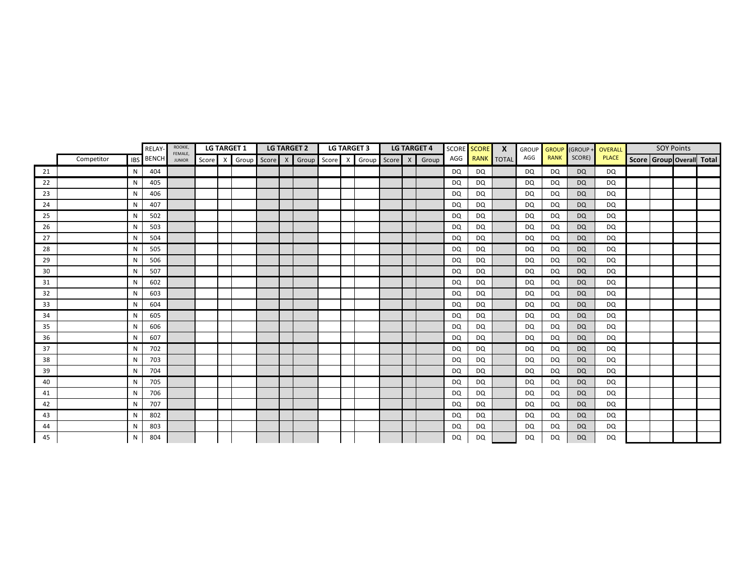|    | ROOKIE,<br><b>LG TARGET 1</b><br><b>LG TARGET 2</b><br><b>RELAY</b><br>FEMALE, |    | <b>LG TARGET 3</b><br><b>LG TARGET 4</b> |               |  |  |  | SCORE SCORE | $\mathsf{X}$ | <b>GROUP</b> | <b>GROUP</b> | (GROUP+                                                 | <b>OVERALL</b> |                | <b>SOY Points</b> |           |             |           |              |  |  |                           |
|----|--------------------------------------------------------------------------------|----|------------------------------------------|---------------|--|--|--|-------------|--------------|--------------|--------------|---------------------------------------------------------|----------------|----------------|-------------------|-----------|-------------|-----------|--------------|--|--|---------------------------|
|    | Competitor                                                                     |    | <b>IBS</b> BENCH                         | <b>JUNIOR</b> |  |  |  |             |              |              |              | Score X Group Score X Group Score X Group Score X Group |                | AGG RANK TOTAL |                   | AGG       | <b>RANK</b> | SCORE)    | <b>PLACE</b> |  |  | Score Group Overall Total |
| 21 |                                                                                | N  | 404                                      |               |  |  |  |             |              |              |              |                                                         | DQ             | DQ.            |                   | DQ        | <b>DQ</b>   | <b>DQ</b> | DQ           |  |  |                           |
| 22 |                                                                                | N. | 405                                      |               |  |  |  |             |              |              |              |                                                         | <b>DQ</b>      | DQ             |                   | DQ        | DQ          | <b>DQ</b> | DQ           |  |  |                           |
| 23 |                                                                                | N  | 406                                      |               |  |  |  |             |              |              |              |                                                         | <b>DQ</b>      | DQ             |                   | DQ        | DQ          | <b>DQ</b> | DQ           |  |  |                           |
| 24 |                                                                                | N  | 407                                      |               |  |  |  |             |              |              |              |                                                         | <b>DQ</b>      | DQ             |                   | <b>DQ</b> | <b>DQ</b>   | <b>DQ</b> | <b>DQ</b>    |  |  |                           |
| 25 |                                                                                | N  | 502                                      |               |  |  |  |             |              |              |              |                                                         | <b>DQ</b>      | DQ             |                   | DQ        | DQ.         | DQ        | DQ           |  |  |                           |
| 26 |                                                                                | N  | 503                                      |               |  |  |  |             |              |              |              |                                                         | <b>DQ</b>      | DQ             |                   | <b>DQ</b> | <b>DQ</b>   | <b>DQ</b> | DQ           |  |  |                           |
| 27 |                                                                                | N  | 504                                      |               |  |  |  |             |              |              |              |                                                         | <b>DQ</b>      | DQ             |                   | <b>DQ</b> | <b>DQ</b>   | <b>DQ</b> | <b>DQ</b>    |  |  |                           |
| 28 |                                                                                | N  | 505                                      |               |  |  |  |             |              |              |              |                                                         | <b>DQ</b>      | DQ             |                   | <b>DQ</b> | <b>DQ</b>   | <b>DQ</b> | <b>DQ</b>    |  |  |                           |
| 29 |                                                                                | N  | 506                                      |               |  |  |  |             |              |              |              |                                                         | <b>DQ</b>      | DQ             |                   | DQ        | <b>DQ</b>   | <b>DQ</b> | DQ           |  |  |                           |
| 30 |                                                                                | N  | 507                                      |               |  |  |  |             |              |              |              |                                                         | <b>DQ</b>      | DQ             |                   | <b>DQ</b> | <b>DQ</b>   | <b>DQ</b> | DQ           |  |  |                           |
| 31 |                                                                                | N  | 602                                      |               |  |  |  |             |              |              |              |                                                         | <b>DQ</b>      | DQ             |                   | DQ        | <b>DQ</b>   | <b>DQ</b> | DQ           |  |  |                           |
| 32 |                                                                                | N  | 603                                      |               |  |  |  |             |              |              |              |                                                         | <b>DQ</b>      | DQ             |                   | <b>DQ</b> | <b>DQ</b>   | <b>DQ</b> | <b>DQ</b>    |  |  |                           |
| 33 |                                                                                | N  | 604                                      |               |  |  |  |             |              |              |              |                                                         | <b>DQ</b>      | DQ             |                   | DQ        | <b>DQ</b>   | <b>DQ</b> | DQ           |  |  |                           |
| 34 |                                                                                | N  | 605                                      |               |  |  |  |             |              |              |              |                                                         | <b>DQ</b>      | DQ             |                   | DQ        | DQ          | <b>DQ</b> | DQ           |  |  |                           |
| 35 |                                                                                | N  | 606                                      |               |  |  |  |             |              |              |              |                                                         | <b>DQ</b>      | DQ             |                   | <b>DQ</b> | <b>DQ</b>   | <b>DQ</b> | DQ           |  |  |                           |
| 36 |                                                                                | N  | 607                                      |               |  |  |  |             |              |              |              |                                                         | DQ             | DQ             |                   | DQ        | DQ.         | <b>DQ</b> | DQ           |  |  |                           |
| 37 |                                                                                | N  | 702                                      |               |  |  |  |             |              |              |              |                                                         | <b>DQ</b>      | DQ             |                   | DQ        | <b>DQ</b>   | <b>DQ</b> | DQ           |  |  |                           |
| 38 |                                                                                | N  | 703                                      |               |  |  |  |             |              |              |              |                                                         | <b>DQ</b>      | DQ             |                   | <b>DQ</b> | DQ          | <b>DQ</b> | DQ           |  |  |                           |
| 39 |                                                                                | N  | 704                                      |               |  |  |  |             |              |              |              |                                                         | <b>DQ</b>      | DQ             |                   | DQ        | <b>DQ</b>   | <b>DQ</b> | <b>DQ</b>    |  |  |                           |
| 40 |                                                                                | N  | 705                                      |               |  |  |  |             |              |              |              |                                                         | <b>DQ</b>      | DQ             |                   | DQ        | <b>DQ</b>   | <b>DQ</b> | DQ           |  |  |                           |
| 41 |                                                                                | N  | 706                                      |               |  |  |  |             |              |              |              |                                                         | <b>DQ</b>      | DQ             |                   | <b>DQ</b> | DQ          | <b>DQ</b> | DQ           |  |  |                           |
| 42 |                                                                                | N  | 707                                      |               |  |  |  |             |              |              |              |                                                         | <b>DQ</b>      | DQ             |                   | DQ        | DQ          | <b>DQ</b> | DQ           |  |  |                           |
| 43 |                                                                                | N  | 802                                      |               |  |  |  |             |              |              |              |                                                         | <b>DQ</b>      | DQ             |                   | <b>DQ</b> | <b>DQ</b>   | <b>DQ</b> | DQ           |  |  |                           |
| 44 |                                                                                | N  | 803                                      |               |  |  |  |             |              |              |              |                                                         | DQ             | DQ             |                   | DQ        | DQ          | <b>DQ</b> | DQ           |  |  |                           |
| 45 |                                                                                | N  | 804                                      |               |  |  |  |             |              |              |              |                                                         | <b>DQ</b>      | DQ             |                   | <b>DQ</b> | DQ          | <b>DQ</b> | DQ           |  |  |                           |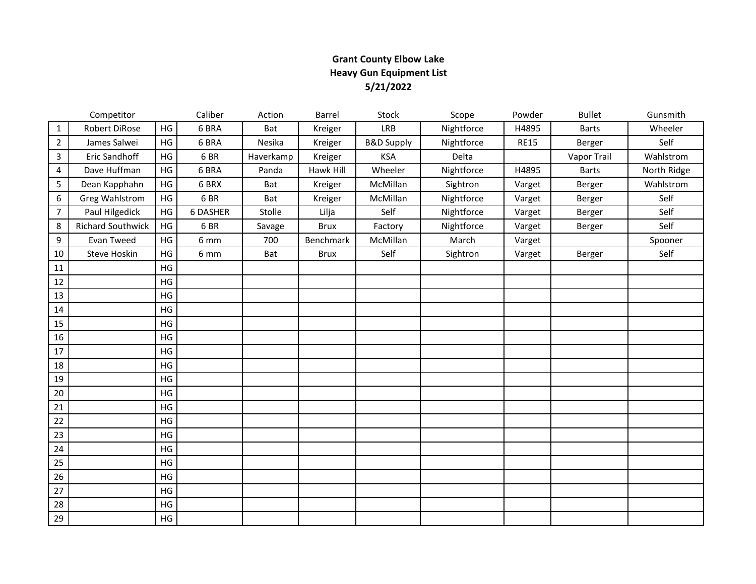## **Grant County Elbow Lake Heavy Gun Equipment List 5/21/2022**

|                | Competitor               |    | Caliber  | Action    | Barrel      | <b>Stock</b>          | Scope      | Powder      | <b>Bullet</b> | Gunsmith    |
|----------------|--------------------------|----|----------|-----------|-------------|-----------------------|------------|-------------|---------------|-------------|
| $\mathbf{1}$   | Robert DiRose            | HG | 6 BRA    | Bat       | Kreiger     | LRB                   | Nightforce | H4895       | <b>Barts</b>  | Wheeler     |
| $\overline{2}$ | James Salwei             | HG | 6 BRA    | Nesika    | Kreiger     | <b>B&amp;D Supply</b> | Nightforce | <b>RE15</b> | Berger        | Self        |
| 3              | Eric Sandhoff            | HG | 6BR      | Haverkamp | Kreiger     | <b>KSA</b>            | Delta      |             | Vapor Trail   | Wahlstrom   |
| 4              | Dave Huffman             | HG | 6 BRA    | Panda     | Hawk Hill   | Wheeler               | Nightforce | H4895       | <b>Barts</b>  | North Ridge |
| 5              | Dean Kapphahn            | HG | 6 BRX    | Bat       | Kreiger     | McMillan              | Sightron   | Varget      | Berger        | Wahlstrom   |
| 6              | <b>Greg Wahlstrom</b>    | HG | 6BR      | Bat       | Kreiger     | McMillan              | Nightforce | Varget      | Berger        | Self        |
| $\overline{7}$ | Paul Hilgedick           | HG | 6 DASHER | Stolle    | Lilja       | Self                  | Nightforce | Varget      | Berger        | Self        |
| 8              | <b>Richard Southwick</b> | HG | 6BR      | Savage    | <b>Brux</b> | Factory               | Nightforce | Varget      | Berger        | Self        |
| 9              | Evan Tweed               | HG | 6 mm     | 700       | Benchmark   | McMillan              | March      | Varget      |               | Spooner     |
| 10             | <b>Steve Hoskin</b>      | HG | 6 mm     | Bat       | <b>Brux</b> | Self                  | Sightron   | Varget      | Berger        | Self        |
| 11             |                          | HG |          |           |             |                       |            |             |               |             |
| 12             |                          | HG |          |           |             |                       |            |             |               |             |
| 13             |                          | HG |          |           |             |                       |            |             |               |             |
| 14             |                          | HG |          |           |             |                       |            |             |               |             |
| 15             |                          | HG |          |           |             |                       |            |             |               |             |
| 16             |                          | HG |          |           |             |                       |            |             |               |             |
| 17             |                          | HG |          |           |             |                       |            |             |               |             |
| 18             |                          | HG |          |           |             |                       |            |             |               |             |
| 19             |                          | HG |          |           |             |                       |            |             |               |             |
| 20             |                          | HG |          |           |             |                       |            |             |               |             |
| 21             |                          | HG |          |           |             |                       |            |             |               |             |
| 22             |                          | HG |          |           |             |                       |            |             |               |             |
| 23             |                          | HG |          |           |             |                       |            |             |               |             |
| 24             |                          | HG |          |           |             |                       |            |             |               |             |
| 25             |                          | HG |          |           |             |                       |            |             |               |             |
| 26             |                          | HG |          |           |             |                       |            |             |               |             |
| 27             |                          | HG |          |           |             |                       |            |             |               |             |
| 28             |                          | HG |          |           |             |                       |            |             |               |             |
| 29             |                          | HG |          |           |             |                       |            |             |               |             |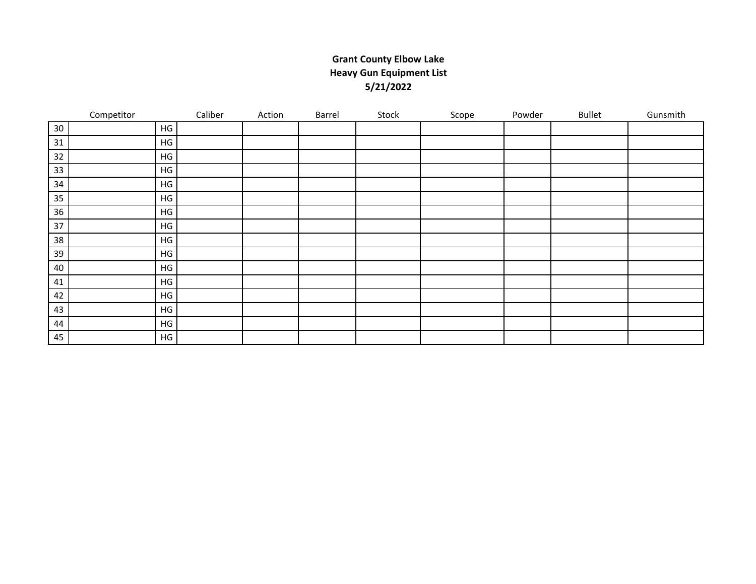## **Grant County Elbow Lake Heavy Gun Equipment List 5/21/2022**

|    | Competitor    | Caliber | Action | Barrel | Stock | Scope | Powder | <b>Bullet</b> | Gunsmith |
|----|---------------|---------|--------|--------|-------|-------|--------|---------------|----------|
| 30 | HG            |         |        |        |       |       |        |               |          |
| 31 | HG            |         |        |        |       |       |        |               |          |
| 32 | HG            |         |        |        |       |       |        |               |          |
| 33 | HG            |         |        |        |       |       |        |               |          |
| 34 | HG            |         |        |        |       |       |        |               |          |
| 35 | HG            |         |        |        |       |       |        |               |          |
| 36 | HG            |         |        |        |       |       |        |               |          |
| 37 | HG            |         |        |        |       |       |        |               |          |
| 38 | HG            |         |        |        |       |       |        |               |          |
| 39 | HG            |         |        |        |       |       |        |               |          |
| 40 | HG            |         |        |        |       |       |        |               |          |
| 41 | $\mathsf{HG}$ |         |        |        |       |       |        |               |          |
| 42 | HG            |         |        |        |       |       |        |               |          |
| 43 | HG            |         |        |        |       |       |        |               |          |
| 44 | HG            |         |        |        |       |       |        |               |          |
| 45 | HG            |         |        |        |       |       |        |               |          |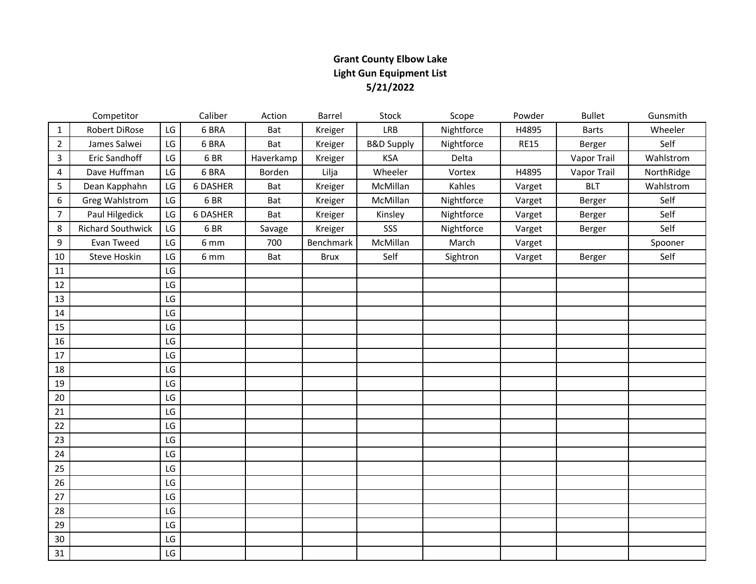## **Grant County Elbow Lake Light Gun Equipment List 5/21/2022**

|                | Competitor               |    | Caliber  | Action    | Barrel      | Stock                 | Scope      | Powder      | <b>Bullet</b> | Gunsmith   |
|----------------|--------------------------|----|----------|-----------|-------------|-----------------------|------------|-------------|---------------|------------|
| $\mathbf{1}$   | Robert DiRose            | LG | 6 BRA    | Bat       | Kreiger     | LRB                   | Nightforce | H4895       | <b>Barts</b>  | Wheeler    |
| $\overline{2}$ | James Salwei             | LG | 6 BRA    | Bat       | Kreiger     | <b>B&amp;D Supply</b> | Nightforce | <b>RE15</b> | Berger        | Self       |
| 3              | Eric Sandhoff            | LG | 6BR      | Haverkamp | Kreiger     | <b>KSA</b>            | Delta      |             | Vapor Trail   | Wahlstrom  |
| 4              | Dave Huffman             | LG | 6 BRA    | Borden    | Lilja       | Wheeler               | Vortex     | H4895       | Vapor Trail   | NorthRidge |
| 5              | Dean Kapphahn            | LG | 6 DASHER | Bat       | Kreiger     | McMillan              | Kahles     | Varget      | <b>BLT</b>    | Wahlstrom  |
| 6              | <b>Greg Wahlstrom</b>    | LG | 6BR      | Bat       | Kreiger     | McMillan              | Nightforce | Varget      | Berger        | Self       |
| $\overline{7}$ | Paul Hilgedick           | LG | 6 DASHER | Bat       | Kreiger     | Kinsley               | Nightforce | Varget      | Berger        | Self       |
| 8              | <b>Richard Southwick</b> | LG | 6BR      | Savage    | Kreiger     | SSS                   | Nightforce | Varget      | Berger        | Self       |
| 9              | Evan Tweed               | LG | 6 mm     | 700       | Benchmark   | McMillan              | March      | Varget      |               | Spooner    |
| 10             | Steve Hoskin             | LG | 6 mm     | Bat       | <b>Brux</b> | Self                  | Sightron   | Varget      | Berger        | Self       |
| 11             |                          | LG |          |           |             |                       |            |             |               |            |
| 12             |                          | LG |          |           |             |                       |            |             |               |            |
| 13             |                          | LG |          |           |             |                       |            |             |               |            |
| 14             |                          | LG |          |           |             |                       |            |             |               |            |
| 15             |                          | LG |          |           |             |                       |            |             |               |            |
| 16             |                          | LG |          |           |             |                       |            |             |               |            |
| 17             |                          | LG |          |           |             |                       |            |             |               |            |
| 18             |                          | LG |          |           |             |                       |            |             |               |            |
| 19             |                          | LG |          |           |             |                       |            |             |               |            |
| 20             |                          | LG |          |           |             |                       |            |             |               |            |
| 21             |                          | LG |          |           |             |                       |            |             |               |            |
| 22             |                          | LG |          |           |             |                       |            |             |               |            |
| 23             |                          | LG |          |           |             |                       |            |             |               |            |
| 24             |                          | LG |          |           |             |                       |            |             |               |            |
| 25             |                          | LG |          |           |             |                       |            |             |               |            |
| 26             |                          | LG |          |           |             |                       |            |             |               |            |
| 27             |                          | LG |          |           |             |                       |            |             |               |            |
| 28             |                          | LG |          |           |             |                       |            |             |               |            |
| 29             |                          | LG |          |           |             |                       |            |             |               |            |
| 30             |                          | LG |          |           |             |                       |            |             |               |            |
| 31             |                          | LG |          |           |             |                       |            |             |               |            |